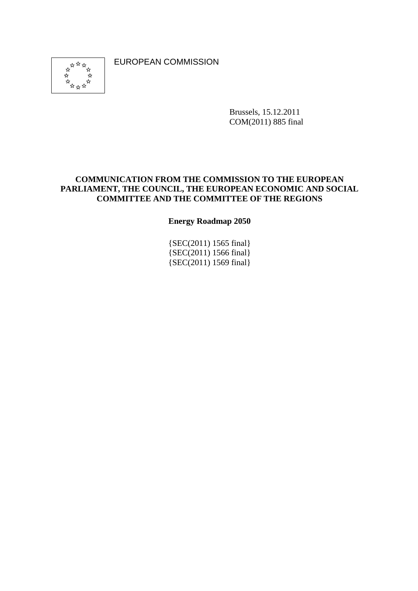EUROPEAN COMMISSION



Brussels, 15.12.2011 COM(2011) 885 final

#### **COMMUNICATION FROM THE COMMISSION TO THE EUROPEAN PARLIAMENT, THE COUNCIL, THE EUROPEAN ECONOMIC AND SOCIAL COMMITTEE AND THE COMMITTEE OF THE REGIONS**

**Energy Roadmap 2050** 

{SEC(2011) 1565 final} {SEC(2011) 1566 final} {SEC(2011) 1569 final}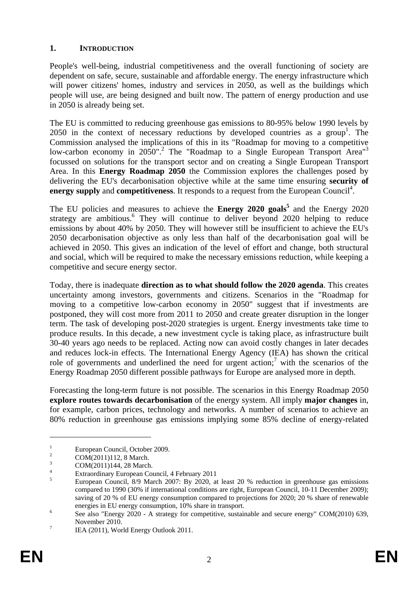#### **1. INTRODUCTION**

People's well-being, industrial competitiveness and the overall functioning of society are dependent on safe, secure, sustainable and affordable energy. The energy infrastructure which will power citizens' homes, industry and services in 2050, as well as the buildings which people will use, are being designed and built now. The pattern of energy production and use in 2050 is already being set.

The EU is committed to reducing greenhouse gas emissions to 80-95% below 1990 levels by 2050 in the context of necessary reductions by developed countries as a group<sup>1</sup>. The Commission analysed the implications of this in its "Roadmap for moving to a competitive low-carbon economy in 2050".<sup>2</sup> The "Roadmap to a Single European Transport Area"<sup>3</sup> focussed on solutions for the transport sector and on creating a Single European Transport Area. In this **Energy Roadmap 2050** the Commission explores the challenges posed by delivering the EU's decarbonisation objective while at the same time ensuring **security of**  energy supply and competitiveness. It responds to a request from the European Council<sup>4</sup>.

The EU policies and measures to achieve the **Energy 2020 goals**<sup>5</sup> and the Energy 2020 strategy are ambitious.<sup>6</sup> They will continue to deliver beyond 2020 helping to reduce emissions by about 40% by 2050. They will however still be insufficient to achieve the EU's 2050 decarbonisation objective as only less than half of the decarbonisation goal will be achieved in 2050. This gives an indication of the level of effort and change, both structural and social, which will be required to make the necessary emissions reduction, while keeping a competitive and secure energy sector.

Today, there is inadequate **direction as to what should follow the 2020 agenda**. This creates uncertainty among investors, governments and citizens. Scenarios in the "Roadmap for moving to a competitive low-carbon economy in 2050" suggest that if investments are postponed, they will cost more from 2011 to 2050 and create greater disruption in the longer term. The task of developing post-2020 strategies is urgent. Energy investments take time to produce results. In this decade, a new investment cycle is taking place, as infrastructure built 30-40 years ago needs to be replaced. Acting now can avoid costly changes in later decades and reduces lock-in effects. The International Energy Agency (IEA) has shown the critical role of governments and underlined the need for urgent action;<sup>7</sup> with the scenarios of the Energy Roadmap 2050 different possible pathways for Europe are analysed more in depth.

Forecasting the long-term future is not possible. The scenarios in this Energy Roadmap 2050 **explore routes towards decarbonisation** of the energy system. All imply **major changes** in, for example, carbon prices, technology and networks. A number of scenarios to achieve an 80% reduction in greenhouse gas emissions implying some 85% decline of energy-related

<u>.</u>

<sup>1</sup> European Council, October 2009.

<sup>2</sup> COM(2011)112, 8 March.

<sup>3</sup> COM(2011)144, 28 March.

<sup>4</sup> Extraordinary European Council, 4 February 2011

<sup>5</sup> European Council, 8/9 March 2007: By 2020, at least 20 % reduction in greenhouse gas emissions compared to 1990 (30% if international conditions are right, European Council, 10-11 December 2009); saving of 20 % of EU energy consumption compared to projections for 2020; 20 % share of renewable energies in EU energy consumption, 10% share in transport.

See also "Energy 2020 - A strategy for competitive, sustainable and secure energy" COM(2010) 639, November 2010.

IEA (2011), World Energy Outlook 2011.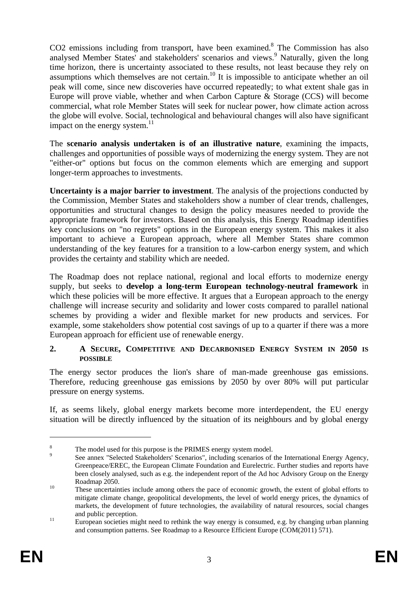CO2 emissions including from transport, have been examined.<sup>8</sup> The Commission has also analysed Member States' and stakeholders' scenarios and views.<sup>9</sup> Naturally, given the long time horizon, there is uncertainty associated to these results, not least because they rely on assumptions which themselves are not certain.<sup>10</sup> It is impossible to anticipate whether an oil peak will come, since new discoveries have occurred repeatedly; to what extent shale gas in Europe will prove viable, whether and when Carbon Capture & Storage (CCS) will become commercial, what role Member States will seek for nuclear power, how climate action across the globe will evolve. Social, technological and behavioural changes will also have significant impact on the energy system. $^{11}$ 

The **scenario analysis undertaken is of an illustrative nature**, examining the impacts, challenges and opportunities of possible ways of modernizing the energy system. They are not "either-or" options but focus on the common elements which are emerging and support longer-term approaches to investments.

**Uncertainty is a major barrier to investment**. The analysis of the projections conducted by the Commission, Member States and stakeholders show a number of clear trends, challenges, opportunities and structural changes to design the policy measures needed to provide the appropriate framework for investors. Based on this analysis, this Energy Roadmap identifies key conclusions on "no regrets" options in the European energy system. This makes it also important to achieve a European approach, where all Member States share common understanding of the key features for a transition to a low-carbon energy system, and which provides the certainty and stability which are needed.

The Roadmap does not replace national, regional and local efforts to modernize energy supply, but seeks to **develop a long-term European technology-neutral framework** in which these policies will be more effective. It argues that a European approach to the energy challenge will increase security and solidarity and lower costs compared to parallel national schemes by providing a wider and flexible market for new products and services. For example, some stakeholders show potential cost savings of up to a quarter if there was a more European approach for efficient use of renewable energy.

#### **2. A SECURE, COMPETITIVE AND DECARBONISED ENERGY SYSTEM IN 2050 IS POSSIBLE**

The energy sector produces the lion's share of man-made greenhouse gas emissions. Therefore, reducing greenhouse gas emissions by 2050 by over 80% will put particular pressure on energy systems.

If, as seems likely, global energy markets become more interdependent, the EU energy situation will be directly influenced by the situation of its neighbours and by global energy

<u>.</u>

<sup>8</sup> The model used for this purpose is the PRIMES energy system model.

<sup>9</sup> See annex "Selected Stakeholders' Scenarios", including scenarios of the International Energy Agency, Greenpeace/EREC, the European Climate Foundation and Eurelectric. Further studies and reports have been closely analysed, such as e.g. the independent report of the Ad hoc Advisory Group on the Energy Roadmap 2050.<br>These uncertainties include among others the pace of economic growth, the extent of global efforts to

mitigate climate change, geopolitical developments, the level of world energy prices, the dynamics of markets, the development of future technologies, the availability of natural resources, social changes and public perception.<br><sup>11</sup> European societies might need to rethink the way energy is consumed, e.g. by changing urban planning

and consumption patterns. See Roadmap to a Resource Efficient Europe (COM(2011) 571).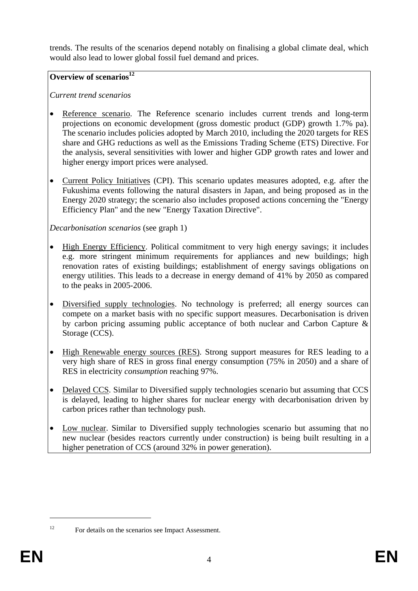trends. The results of the scenarios depend notably on finalising a global climate deal, which would also lead to lower global fossil fuel demand and prices.

# **Overview of scenarios**<sup>12</sup>

# *Current trend scenarios*

- Reference scenario. The Reference scenario includes current trends and long-term projections on economic development (gross domestic product (GDP) growth 1.7% pa). The scenario includes policies adopted by March 2010, including the 2020 targets for RES share and GHG reductions as well as the Emissions Trading Scheme (ETS) Directive. For the analysis, several sensitivities with lower and higher GDP growth rates and lower and higher energy import prices were analysed.
- Current Policy Initiatives (CPI). This scenario updates measures adopted, e.g. after the Fukushima events following the natural disasters in Japan, and being proposed as in the Energy 2020 strategy; the scenario also includes proposed actions concerning the "Energy Efficiency Plan" and the new "Energy Taxation Directive".

*Decarbonisation scenarios* (see graph 1)

- High Energy Efficiency. Political commitment to very high energy savings; it includes e.g. more stringent minimum requirements for appliances and new buildings; high renovation rates of existing buildings; establishment of energy savings obligations on energy utilities. This leads to a decrease in energy demand of 41% by 2050 as compared to the peaks in 2005-2006.
- Diversified supply technologies. No technology is preferred; all energy sources can compete on a market basis with no specific support measures. Decarbonisation is driven by carbon pricing assuming public acceptance of both nuclear and Carbon Capture & Storage (CCS).
- High Renewable energy sources (RES). Strong support measures for RES leading to a very high share of RES in gross final energy consumption (75% in 2050) and a share of RES in electricity *consumption* reaching 97%.
- Delayed CCS. Similar to Diversified supply technologies scenario but assuming that CCS is delayed, leading to higher shares for nuclear energy with decarbonisation driven by carbon prices rather than technology push.
- Low nuclear. Similar to Diversified supply technologies scenario but assuming that no new nuclear (besides reactors currently under construction) is being built resulting in a higher penetration of CCS (around 32% in power generation).

<sup>1</sup> 

<sup>&</sup>lt;sup>12</sup> For details on the scenarios see Impact Assessment.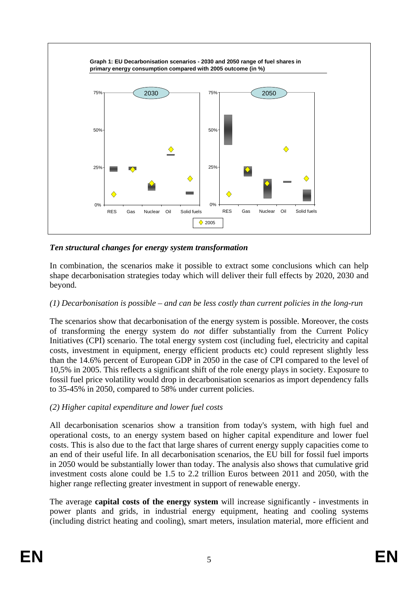

# *Ten structural changes for energy system transformation*

In combination, the scenarios make it possible to extract some conclusions which can help shape decarbonisation strategies today which will deliver their full effects by 2020, 2030 and beyond.

## *(1) Decarbonisation is possible – and can be less costly than current policies in the long-run*

The scenarios show that decarbonisation of the energy system is possible. Moreover, the costs of transforming the energy system do *not* differ substantially from the Current Policy Initiatives (CPI) scenario. The total energy system cost (including fuel, electricity and capital costs, investment in equipment, energy efficient products etc) could represent slightly less than the 14.6% percent of European GDP in 2050 in the case of CPI compared to the level of 10,5% in 2005. This reflects a significant shift of the role energy plays in society. Exposure to fossil fuel price volatility would drop in decarbonisation scenarios as import dependency falls to 35-45% in 2050, compared to 58% under current policies.

## *(2) Higher capital expenditure and lower fuel costs*

All decarbonisation scenarios show a transition from today's system, with high fuel and operational costs, to an energy system based on higher capital expenditure and lower fuel costs. This is also due to the fact that large shares of current energy supply capacities come to an end of their useful life. In all decarbonisation scenarios, the EU bill for fossil fuel imports in 2050 would be substantially lower than today. The analysis also shows that cumulative grid investment costs alone could be 1.5 to 2.2 trillion Euros between 2011 and 2050, with the higher range reflecting greater investment in support of renewable energy.

The average **capital costs of the energy system** will increase significantly - investments in power plants and grids, in industrial energy equipment, heating and cooling systems (including district heating and cooling), smart meters, insulation material, more efficient and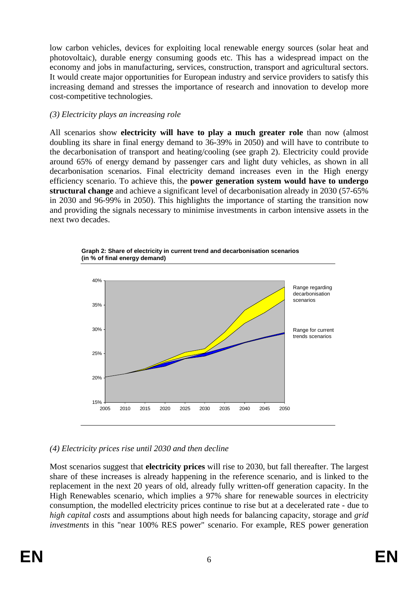low carbon vehicles, devices for exploiting local renewable energy sources (solar heat and photovoltaic), durable energy consuming goods etc. This has a widespread impact on the economy and jobs in manufacturing, services, construction, transport and agricultural sectors. It would create major opportunities for European industry and service providers to satisfy this increasing demand and stresses the importance of research and innovation to develop more cost-competitive technologies.

## *(3) Electricity plays an increasing role*

All scenarios show **electricity will have to play a much greater role** than now (almost doubling its share in final energy demand to 36-39% in 2050) and will have to contribute to the decarbonisation of transport and heating/cooling (see graph 2). Electricity could provide around 65% of energy demand by passenger cars and light duty vehicles, as shown in all decarbonisation scenarios. Final electricity demand increases even in the High energy efficiency scenario. To achieve this, the **power generation system would have to undergo structural change** and achieve a significant level of decarbonisation already in 2030 (57-65% in 2030 and 96-99% in 2050). This highlights the importance of starting the transition now and providing the signals necessary to minimise investments in carbon intensive assets in the next two decades.





# *(4) Electricity prices rise until 2030 and then decline*

Most scenarios suggest that **electricity prices** will rise to 2030, but fall thereafter. The largest share of these increases is already happening in the reference scenario, and is linked to the replacement in the next 20 years of old, already fully written-off generation capacity. In the High Renewables scenario, which implies a 97% share for renewable sources in electricity consumption, the modelled electricity prices continue to rise but at a decelerated rate - due to *high capital costs* and assumptions about high needs for balancing capacity, storage and *grid investments* in this "near 100% RES power" scenario. For example, RES power generation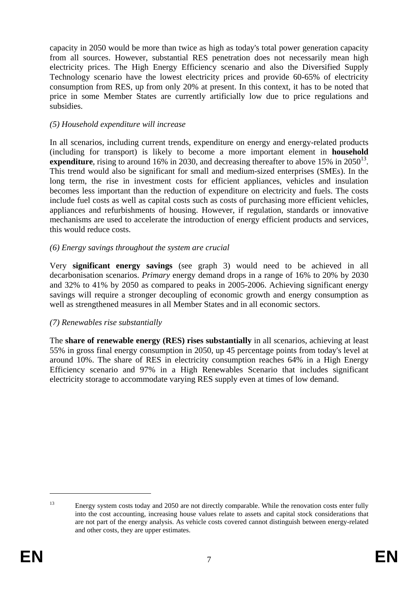capacity in 2050 would be more than twice as high as today's total power generation capacity from all sources. However, substantial RES penetration does not necessarily mean high electricity prices. The High Energy Efficiency scenario and also the Diversified Supply Technology scenario have the lowest electricity prices and provide 60-65% of electricity consumption from RES, up from only 20% at present. In this context, it has to be noted that price in some Member States are currently artificially low due to price regulations and subsidies.

#### *(5) Household expenditure will increase*

In all scenarios, including current trends, expenditure on energy and energy-related products (including for transport) is likely to become a more important element in **household expenditure**, rising to around 16% in 2030, and decreasing thereafter to above 15% in 2050<sup>13</sup>. This trend would also be significant for small and medium-sized enterprises (SMEs). In the long term, the rise in investment costs for efficient appliances, vehicles and insulation becomes less important than the reduction of expenditure on electricity and fuels. The costs include fuel costs as well as capital costs such as costs of purchasing more efficient vehicles, appliances and refurbishments of housing. However, if regulation, standards or innovative mechanisms are used to accelerate the introduction of energy efficient products and services, this would reduce costs.

#### *(6) Energy savings throughout the system are crucial*

Very **significant energy savings** (see graph 3) would need to be achieved in all decarbonisation scenarios. *Primary* energy demand drops in a range of 16% to 20% by 2030 and 32% to 41% by 2050 as compared to peaks in 2005-2006. Achieving significant energy savings will require a stronger decoupling of economic growth and energy consumption as well as strengthened measures in all Member States and in all economic sectors.

## *(7) Renewables rise substantially*

The **share of renewable energy (RES) rises substantially** in all scenarios, achieving at least 55% in gross final energy consumption in 2050, up 45 percentage points from today's level at around 10%. The share of RES in electricity consumption reaches 64% in a High Energy Efficiency scenario and 97% in a High Renewables Scenario that includes significant electricity storage to accommodate varying RES supply even at times of low demand.

<sup>&</sup>lt;sup>13</sup> Energy system costs today and 2050 are not directly comparable. While the renovation costs enter fully into the cost accounting, increasing house values relate to assets and capital stock considerations that are not part of the energy analysis. As vehicle costs covered cannot distinguish between energy-related and other costs, they are upper estimates.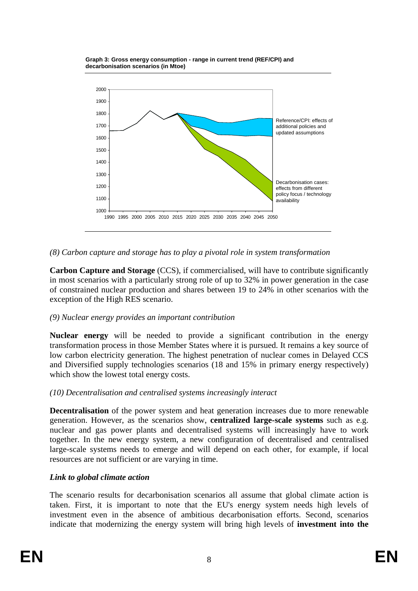



#### *(8) Carbon capture and storage has to play a pivotal role in system transformation*

**Carbon Capture and Storage** (CCS), if commercialised, will have to contribute significantly in most scenarios with a particularly strong role of up to 32% in power generation in the case of constrained nuclear production and shares between 19 to 24% in other scenarios with the exception of the High RES scenario.

#### *(9) Nuclear energy provides an important contribution*

**Nuclear energy** will be needed to provide a significant contribution in the energy transformation process in those Member States where it is pursued. It remains a key source of low carbon electricity generation. The highest penetration of nuclear comes in Delayed CCS and Diversified supply technologies scenarios (18 and 15% in primary energy respectively) which show the lowest total energy costs.

#### *(10) Decentralisation and centralised systems increasingly interact*

**Decentralisation** of the power system and heat generation increases due to more renewable generation. However, as the scenarios show, **centralized large-scale systems** such as e.g. nuclear and gas power plants and decentralised systems will increasingly have to work together. In the new energy system, a new configuration of decentralised and centralised large-scale systems needs to emerge and will depend on each other, for example, if local resources are not sufficient or are varying in time.

#### *Link to global climate action*

The scenario results for decarbonisation scenarios all assume that global climate action is taken. First, it is important to note that the EU's energy system needs high levels of investment even in the absence of ambitious decarbonisation efforts. Second, scenarios indicate that modernizing the energy system will bring high levels of **investment into the**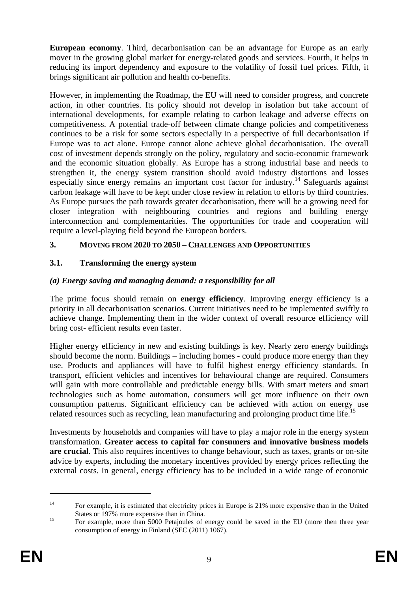**European economy**. Third, decarbonisation can be an advantage for Europe as an early mover in the growing global market for energy-related goods and services. Fourth, it helps in reducing its import dependency and exposure to the volatility of fossil fuel prices. Fifth, it brings significant air pollution and health co-benefits.

However, in implementing the Roadmap, the EU will need to consider progress, and concrete action, in other countries. Its policy should not develop in isolation but take account of international developments, for example relating to carbon leakage and adverse effects on competitiveness. A potential trade-off between climate change policies and competitiveness continues to be a risk for some sectors especially in a perspective of full decarbonisation if Europe was to act alone. Europe cannot alone achieve global decarbonisation. The overall cost of investment depends strongly on the policy, regulatory and socio-economic framework and the economic situation globally. As Europe has a strong industrial base and needs to strengthen it, the energy system transition should avoid industry distortions and losses especially since energy remains an important cost factor for industry.<sup>14</sup> Safeguards against carbon leakage will have to be kept under close review in relation to efforts by third countries. As Europe pursues the path towards greater decarbonisation, there will be a growing need for closer integration with neighbouring countries and regions and building energy interconnection and complementarities. The opportunities for trade and cooperation will require a level-playing field beyond the European borders.

## **3. MOVING FROM 2020 TO 2050 – CHALLENGES AND OPPORTUNITIES**

# **3.1. Transforming the energy system**

# *(a) Energy saving and managing demand: a responsibility for all*

The prime focus should remain on **energy efficiency**. Improving energy efficiency is a priority in all decarbonisation scenarios. Current initiatives need to be implemented swiftly to achieve change. Implementing them in the wider context of overall resource efficiency will bring cost- efficient results even faster.

Higher energy efficiency in new and existing buildings is key. Nearly zero energy buildings should become the norm. Buildings – including homes - could produce more energy than they use. Products and appliances will have to fulfil highest energy efficiency standards. In transport, efficient vehicles and incentives for behavioural change are required. Consumers will gain with more controllable and predictable energy bills. With smart meters and smart technologies such as home automation, consumers will get more influence on their own consumption patterns. Significant efficiency can be achieved with action on energy use related resources such as recycling, lean manufacturing and prolonging product time life.<sup>15</sup>

Investments by households and companies will have to play a major role in the energy system transformation. **Greater access to capital for consumers and innovative business models are crucial**. This also requires incentives to change behaviour, such as taxes, grants or on-site advice by experts, including the monetary incentives provided by energy prices reflecting the external costs. In general, energy efficiency has to be included in a wide range of economic

<sup>&</sup>lt;sup>14</sup> For example, it is estimated that electricity prices in Europe is 21% more expensive than in the United States or 197% more expensive than in China.<br><sup>15</sup> For example, more than 5000 Petajoules of energy could be saved in the EU (more then three year

consumption of energy in Finland (SEC (2011) 1067).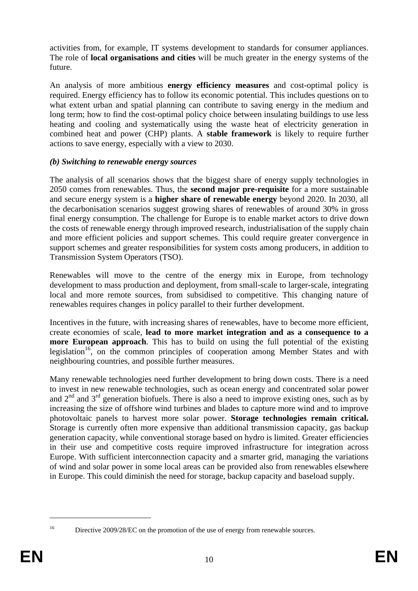activities from, for example, IT systems development to standards for consumer appliances. The role of **local organisations and cities** will be much greater in the energy systems of the future.

An analysis of more ambitious **energy efficiency measures** and cost-optimal policy is required. Energy efficiency has to follow its economic potential. This includes questions on to what extent urban and spatial planning can contribute to saving energy in the medium and long term; how to find the cost-optimal policy choice between insulating buildings to use less heating and cooling and systematically using the waste heat of electricity generation in combined heat and power (CHP) plants. A **stable framework** is likely to require further actions to save energy, especially with a view to 2030.

#### *(b) Switching to renewable energy sources*

The analysis of all scenarios shows that the biggest share of energy supply technologies in 2050 comes from renewables. Thus, the **second major pre-requisite** for a more sustainable and secure energy system is a **higher share of renewable energy** beyond 2020. In 2030, all the decarbonisation scenarios suggest growing shares of renewables of around 30% in gross final energy consumption. The challenge for Europe is to enable market actors to drive down the costs of renewable energy through improved research, industrialisation of the supply chain and more efficient policies and support schemes. This could require greater convergence in support schemes and greater responsibilities for system costs among producers, in addition to Transmission System Operators (TSO).

Renewables will move to the centre of the energy mix in Europe, from technology development to mass production and deployment, from small-scale to larger-scale, integrating local and more remote sources, from subsidised to competitive. This changing nature of renewables requires changes in policy parallel to their further development.

Incentives in the future, with increasing shares of renewables, have to become more efficient, create economies of scale, **lead to more market integration and as a consequence to a more European approach**. This has to build on using the full potential of the existing legislation<sup>16</sup>, on the common principles of cooperation among Member States and with neighbouring countries, and possible further measures.

Many renewable technologies need further development to bring down costs. There is a need to invest in new renewable technologies, such as ocean energy and concentrated solar power and  $2<sup>nd</sup>$  and  $3<sup>rd</sup>$  generation biofuels. There is also a need to improve existing ones, such as by increasing the size of offshore wind turbines and blades to capture more wind and to improve photovoltaic panels to harvest more solar power. **Storage technologies remain critical.** Storage is currently often more expensive than additional transmission capacity, gas backup generation capacity, while conventional storage based on hydro is limited. Greater efficiencies in their use and competitive costs require improved infrastructure for integration across Europe. With sufficient interconnection capacity and a smarter grid, managing the variations of wind and solar power in some local areas can be provided also from renewables elsewhere in Europe. This could diminish the need for storage, backup capacity and baseload supply.

<sup>1</sup> 

<sup>&</sup>lt;sup>16</sup> Directive 2009/28/EC on the promotion of the use of energy from renewable sources.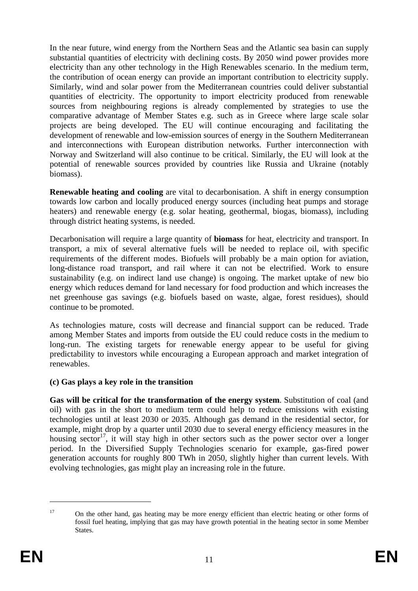In the near future, wind energy from the Northern Seas and the Atlantic sea basin can supply substantial quantities of electricity with declining costs. By 2050 wind power provides more electricity than any other technology in the High Renewables scenario. In the medium term, the contribution of ocean energy can provide an important contribution to electricity supply. Similarly, wind and solar power from the Mediterranean countries could deliver substantial quantities of electricity. The opportunity to import electricity produced from renewable sources from neighbouring regions is already complemented by strategies to use the comparative advantage of Member States e.g. such as in Greece where large scale solar projects are being developed. The EU will continue encouraging and facilitating the development of renewable and low-emission sources of energy in the Southern Mediterranean and interconnections with European distribution networks. Further interconnection with Norway and Switzerland will also continue to be critical. Similarly, the EU will look at the potential of renewable sources provided by countries like Russia and Ukraine (notably biomass).

**Renewable heating and cooling** are vital to decarbonisation. A shift in energy consumption towards low carbon and locally produced energy sources (including heat pumps and storage heaters) and renewable energy (e.g. solar heating, geothermal, biogas, biomass), including through district heating systems, is needed.

Decarbonisation will require a large quantity of **biomass** for heat, electricity and transport. In transport, a mix of several alternative fuels will be needed to replace oil, with specific requirements of the different modes. Biofuels will probably be a main option for aviation, long-distance road transport, and rail where it can not be electrified. Work to ensure sustainability (e.g. on indirect land use change) is ongoing. The market uptake of new bio energy which reduces demand for land necessary for food production and which increases the net greenhouse gas savings (e.g. biofuels based on waste, algae, forest residues), should continue to be promoted.

As technologies mature, costs will decrease and financial support can be reduced. Trade among Member States and imports from outside the EU could reduce costs in the medium to long-run. The existing targets for renewable energy appear to be useful for giving predictability to investors while encouraging a European approach and market integration of renewables.

## **(c) Gas plays a key role in the transition**

**Gas will be critical for the transformation of the energy system**. Substitution of coal (and oil) with gas in the short to medium term could help to reduce emissions with existing technologies until at least 2030 or 2035. Although gas demand in the residential sector, for example, might drop by a quarter until 2030 due to several energy efficiency measures in the housing sector<sup>17</sup>, it will stay high in other sectors such as the power sector over a longer period. In the Diversified Supply Technologies scenario for example, gas-fired power generation accounts for roughly 800 TWh in 2050, slightly higher than current levels. With evolving technologies, gas might play an increasing role in the future.

<sup>&</sup>lt;sup>17</sup> On the other hand, gas heating may be more energy efficient than electric heating or other forms of fossil fuel heating, implying that gas may have growth potential in the heating sector in some Member States.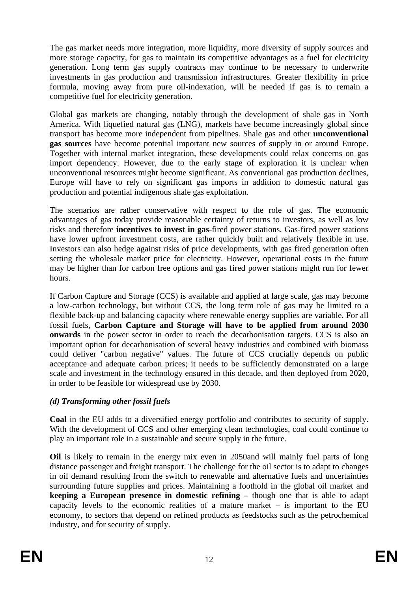The gas market needs more integration, more liquidity, more diversity of supply sources and more storage capacity, for gas to maintain its competitive advantages as a fuel for electricity generation. Long term gas supply contracts may continue to be necessary to underwrite investments in gas production and transmission infrastructures. Greater flexibility in price formula, moving away from pure oil-indexation, will be needed if gas is to remain a competitive fuel for electricity generation.

Global gas markets are changing, notably through the development of shale gas in North America. With liquefied natural gas (LNG), markets have become increasingly global since transport has become more independent from pipelines. Shale gas and other **unconventional gas sources** have become potential important new sources of supply in or around Europe. Together with internal market integration, these developments could relax concerns on gas import dependency. However, due to the early stage of exploration it is unclear when unconventional resources might become significant. As conventional gas production declines, Europe will have to rely on significant gas imports in addition to domestic natural gas production and potential indigenous shale gas exploitation.

The scenarios are rather conservative with respect to the role of gas. The economic advantages of gas today provide reasonable certainty of returns to investors, as well as low risks and therefore **incentives to invest in gas-**fired power stations. Gas-fired power stations have lower upfront investment costs, are rather quickly built and relatively flexible in use. Investors can also hedge against risks of price developments, with gas fired generation often setting the wholesale market price for electricity. However, operational costs in the future may be higher than for carbon free options and gas fired power stations might run for fewer hours.

If Carbon Capture and Storage (CCS) is available and applied at large scale, gas may become a low-carbon technology, but without CCS, the long term role of gas may be limited to a flexible back-up and balancing capacity where renewable energy supplies are variable. For all fossil fuels, **Carbon Capture and Storage will have to be applied from around 2030 onwards** in the power sector in order to reach the decarbonisation targets. CCS is also an important option for decarbonisation of several heavy industries and combined with biomass could deliver "carbon negative" values. The future of CCS crucially depends on public acceptance and adequate carbon prices; it needs to be sufficiently demonstrated on a large scale and investment in the technology ensured in this decade, and then deployed from 2020, in order to be feasible for widespread use by 2030.

# *(d) Transforming other fossil fuels*

**Coal** in the EU adds to a diversified energy portfolio and contributes to security of supply. With the development of CCS and other emerging clean technologies, coal could continue to play an important role in a sustainable and secure supply in the future.

**Oil** is likely to remain in the energy mix even in 2050and will mainly fuel parts of long distance passenger and freight transport. The challenge for the oil sector is to adapt to changes in oil demand resulting from the switch to renewable and alternative fuels and uncertainties surrounding future supplies and prices. Maintaining a foothold in the global oil market and **keeping a European presence in domestic refining** – though one that is able to adapt capacity levels to the economic realities of a mature market – is important to the EU economy, to sectors that depend on refined products as feedstocks such as the petrochemical industry, and for security of supply.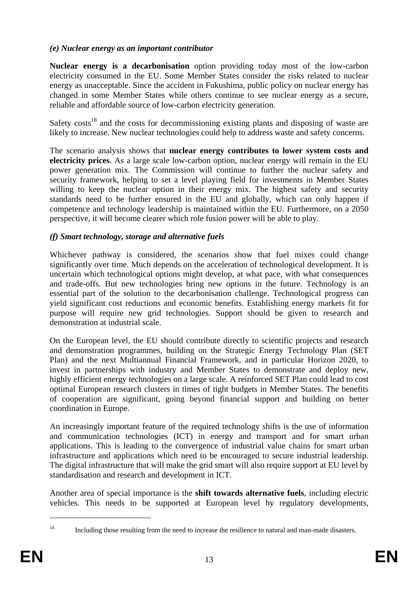#### *(e) Nuclear energy as an important contributor*

**Nuclear energy is a decarbonisation** option providing today most of the low-carbon electricity consumed in the EU. Some Member States consider the risks related to nuclear energy as unacceptable. Since the accident in Fukushima, public policy on nuclear energy has changed in some Member States while others continue to see nuclear energy as a secure, reliable and affordable source of low-carbon electricity generation.

Safety costs<sup>18</sup> and the costs for decommissioning existing plants and disposing of waste are likely to increase. New nuclear technologies could help to address waste and safety concerns.

The scenario analysis shows that **nuclear energy contributes to lower system costs and electricity prices**. As a large scale low-carbon option, nuclear energy will remain in the EU power generation mix. The Commission will continue to further the nuclear safety and security framework, helping to set a level playing field for investments in Member States willing to keep the nuclear option in their energy mix. The highest safety and security standards need to be further ensured in the EU and globally, which can only happen if competence and technology leadership is maintained within the EU. Furthermore, on a 2050 perspective, it will become clearer which role fusion power will be able to play.

## *(f) Smart technology, storage and alternative fuels*

Whichever pathway is considered, the scenarios show that fuel mixes could change significantly over time. Much depends on the acceleration of technological development. It is uncertain which technological options might develop, at what pace, with what consequences and trade-offs. But new technologies bring new options in the future. Technology is an essential part of the solution to the decarbonisation challenge. Technological progress can yield significant cost reductions and economic benefits. Establishing energy markets fit for purpose will require new grid technologies. Support should be given to research and demonstration at industrial scale.

On the European level, the EU should contribute directly to scientific projects and research and demonstration programmes, building on the Strategic Energy Technology Plan (SET Plan) and the next Multiannual Financial Framework, and in particular Horizon 2020, to invest in partnerships with industry and Member States to demonstrate and deploy new, highly efficient energy technologies on a large scale. A reinforced SET Plan could lead to cost optimal European research clusters in times of tight budgets in Member States. The benefits of cooperation are significant, going beyond financial support and building on better coordination in Europe.

An increasingly important feature of the required technology shifts is the use of information and communication technologies (ICT) in energy and transport and for smart urban applications. This is leading to the convergence of industrial value chains for smart urban infrastructure and applications which need to be encouraged to secure industrial leadership. The digital infrastructure that will make the grid smart will also require support at EU level by standardisation and research and development in ICT.

Another area of special importance is the **shift towards alternative fuels**, including electric vehicles. This needs to be supported at European level by regulatory developments,

<sup>1</sup> 

<sup>&</sup>lt;sup>18</sup> Including those resulting from the need to increase the resilience to natural and man-made disasters.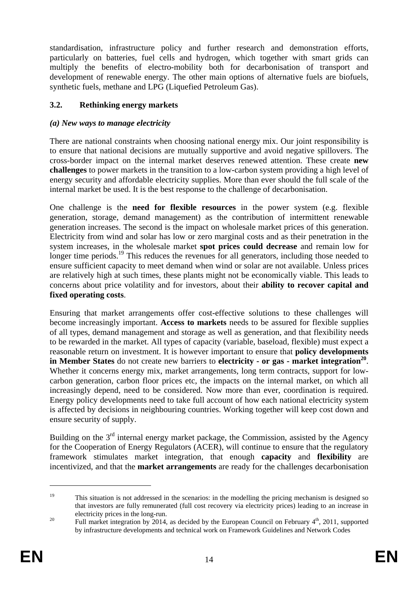standardisation, infrastructure policy and further research and demonstration efforts, particularly on batteries, fuel cells and hydrogen, which together with smart grids can multiply the benefits of electro-mobility both for decarbonisation of transport and development of renewable energy. The other main options of alternative fuels are biofuels, synthetic fuels, methane and LPG (Liquefied Petroleum Gas).

## **3.2. Rethinking energy markets**

## *(a) New ways to manage electricity*

There are national constraints when choosing national energy mix. Our joint responsibility is to ensure that national decisions are mutually supportive and avoid negative spillovers. The cross-border impact on the internal market deserves renewed attention. These create **new challenges** to power markets in the transition to a low-carbon system providing a high level of energy security and affordable electricity supplies. More than ever should the full scale of the internal market be used. It is the best response to the challenge of decarbonisation.

One challenge is the **need for flexible resources** in the power system (e.g. flexible generation, storage, demand management) as the contribution of intermittent renewable generation increases. The second is the impact on wholesale market prices of this generation. Electricity from wind and solar has low or zero marginal costs and as their penetration in the system increases, in the wholesale market **spot prices could decrease** and remain low for longer time periods.<sup>19</sup> This reduces the revenues for all generators, including those needed to ensure sufficient capacity to meet demand when wind or solar are not available. Unless prices are relatively high at such times, these plants might not be economically viable. This leads to concerns about price volatility and for investors, about their **ability to recover capital and fixed operating costs**.

Ensuring that market arrangements offer cost-effective solutions to these challenges will become increasingly important. **Access to markets** needs to be assured for flexible supplies of all types, demand management and storage as well as generation, and that flexibility needs to be rewarded in the market. All types of capacity (variable, baseload, flexible) must expect a reasonable return on investment. It is however important to ensure that **policy developments in Member States** do not create new barriers to **electricity - or gas - market integration**<sup>20</sup>. Whether it concerns energy mix, market arrangements, long term contracts, support for lowcarbon generation, carbon floor prices etc, the impacts on the internal market, on which all increasingly depend, need to be considered. Now more than ever, coordination is required. Energy policy developments need to take full account of how each national electricity system is affected by decisions in neighbouring countries. Working together will keep cost down and ensure security of supply.

Building on the  $3<sup>rd</sup>$  internal energy market package, the Commission, assisted by the Agency for the Cooperation of Energy Regulators (ACER), will continue to ensure that the regulatory framework stimulates market integration, that enough **capacity** and **flexibility** are incentivized, and that the **market arrangements** are ready for the challenges decarbonisation

<u>.</u>

<sup>19</sup> This situation is not addressed in the scenarios: in the modelling the pricing mechanism is designed so that investors are fully remunerated (full cost recovery via electricity prices) leading to an increase in electricity prices in the long-run.<br><sup>20</sup> Full market integration by 2014, as decided by the European Council on February 4<sup>th</sup>, 2011, supported

by infrastructure developments and technical work on Framework Guidelines and Network Codes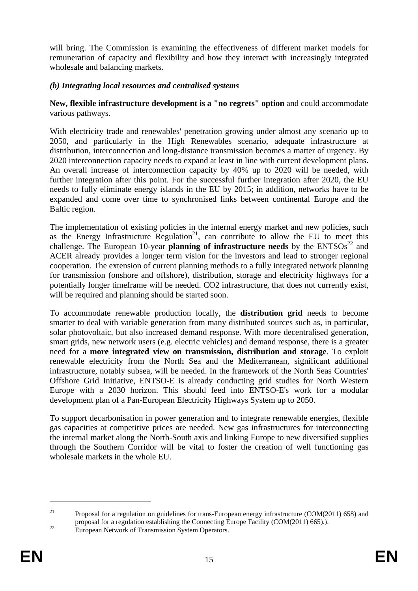will bring. The Commission is examining the effectiveness of different market models for remuneration of capacity and flexibility and how they interact with increasingly integrated wholesale and balancing markets.

## *(b) Integrating local resources and centralised systems*

**New, flexible infrastructure development is a "no regrets" option** and could accommodate various pathways.

With electricity trade and renewables' penetration growing under almost any scenario up to 2050, and particularly in the High Renewables scenario, adequate infrastructure at distribution, interconnection and long-distance transmission becomes a matter of urgency. By 2020 interconnection capacity needs to expand at least in line with current development plans. An overall increase of interconnection capacity by 40% up to 2020 will be needed, with further integration after this point. For the successful further integration after 2020, the EU needs to fully eliminate energy islands in the EU by 2015; in addition, networks have to be expanded and come over time to synchronised links between continental Europe and the Baltic region.

The implementation of existing policies in the internal energy market and new policies, such as the Energy Infrastructure Regulation<sup>21</sup>, can contribute to allow the EU to meet this challenge. The European 10-year **planning of infrastructure needs** by the  $ENTSOS<sup>22</sup>$  and ACER already provides a longer term vision for the investors and lead to stronger regional cooperation. The extension of current planning methods to a fully integrated network planning for transmission (onshore and offshore), distribution, storage and electricity highways for a potentially longer timeframe will be needed. CO2 infrastructure, that does not currently exist, will be required and planning should be started soon.

To accommodate renewable production locally, the **distribution grid** needs to become smarter to deal with variable generation from many distributed sources such as, in particular, solar photovoltaic, but also increased demand response. With more decentralised generation, smart grids, new network users (e.g. electric vehicles) and demand response, there is a greater need for a **more integrated view on transmission, distribution and storage**. To exploit renewable electricity from the North Sea and the Mediterranean, significant additional infrastructure, notably subsea, will be needed. In the framework of the North Seas Countries' Offshore Grid Initiative, ENTSO-E is already conducting grid studies for North Western Europe with a 2030 horizon. This should feed into ENTSO-E's work for a modular development plan of a Pan-European Electricity Highways System up to 2050.

To support decarbonisation in power generation and to integrate renewable energies, flexible gas capacities at competitive prices are needed. New gas infrastructures for interconnecting the internal market along the North-South axis and linking Europe to new diversified supplies through the Southern Corridor will be vital to foster the creation of well functioning gas wholesale markets in the whole EU.

<sup>&</sup>lt;sup>21</sup> Proposal for a regulation on guidelines for trans-European energy infrastructure (COM(2011) 658) and proposal for a regulation establishing the Connecting Europe Facility (COM(2011) 665).).<br>European Network of Transmission System Operators.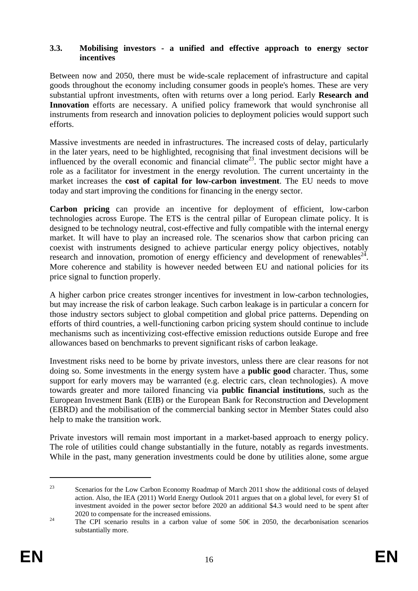#### **3.3. Mobilising investors - a unified and effective approach to energy sector incentives**

Between now and 2050, there must be wide-scale replacement of infrastructure and capital goods throughout the economy including consumer goods in people's homes. These are very substantial upfront investments, often with returns over a long period. Early **Research and**  Innovation efforts are necessary. A unified policy framework that would synchronise all instruments from research and innovation policies to deployment policies would support such efforts.

Massive investments are needed in infrastructures. The increased costs of delay, particularly in the later years, need to be highlighted, recognising that final investment decisions will be influenced by the overall economic and financial climate<sup>23</sup>. The public sector might have a role as a facilitator for investment in the energy revolution. The current uncertainty in the market increases the **cost of capital for low-carbon investment**. The EU needs to move today and start improving the conditions for financing in the energy sector.

**Carbon pricing** can provide an incentive for deployment of efficient, low-carbon technologies across Europe. The ETS is the central pillar of European climate policy. It is designed to be technology neutral, cost-effective and fully compatible with the internal energy market. It will have to play an increased role. The scenarios show that carbon pricing can coexist with instruments designed to achieve particular energy policy objectives, notably research and innovation, promotion of energy efficiency and development of renewables<sup>24</sup>. More coherence and stability is however needed between EU and national policies for its price signal to function properly.

A higher carbon price creates stronger incentives for investment in low-carbon technologies, but may increase the risk of carbon leakage. Such carbon leakage is in particular a concern for those industry sectors subject to global competition and global price patterns. Depending on efforts of third countries, a well-functioning carbon pricing system should continue to include mechanisms such as incentivizing cost-effective emission reductions outside Europe and free allowances based on benchmarks to prevent significant risks of carbon leakage.

Investment risks need to be borne by private investors, unless there are clear reasons for not doing so. Some investments in the energy system have a **public good** character. Thus, some support for early movers may be warranted (e.g. electric cars, clean technologies). A move towards greater and more tailored financing via **public financial institutions**, such as the European Investment Bank (EIB) or the European Bank for Reconstruction and Development (EBRD) and the mobilisation of the commercial banking sector in Member States could also help to make the transition work.

Private investors will remain most important in a market-based approach to energy policy. The role of utilities could change substantially in the future, notably as regards investments. While in the past, many generation investments could be done by utilities alone, some argue

<sup>&</sup>lt;sup>23</sup> Scenarios for the Low Carbon Economy Roadmap of March 2011 show the additional costs of delayed action. Also, the IEA (2011) World Energy Outlook 2011 argues that on a global level, for every \$1 of investment avoided in the power sector before 2020 an additional \$4.3 would need to be spent after

<sup>2020</sup> to compensate for the increased emissions.<br><sup>24</sup> The CPI scenario results in a carbon value of some 50€ in 2050, the decarbonisation scenarios substantially more.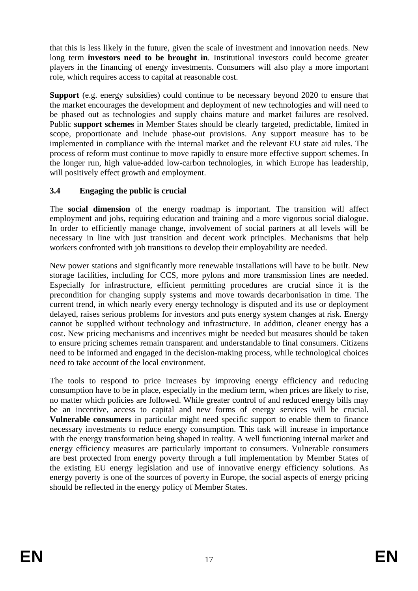that this is less likely in the future, given the scale of investment and innovation needs. New long term **investors need to be brought in**. Institutional investors could become greater players in the financing of energy investments. Consumers will also play a more important role, which requires access to capital at reasonable cost.

**Support** (e.g. energy subsidies) could continue to be necessary beyond 2020 to ensure that the market encourages the development and deployment of new technologies and will need to be phased out as technologies and supply chains mature and market failures are resolved. Public **support schemes** in Member States should be clearly targeted, predictable, limited in scope, proportionate and include phase-out provisions. Any support measure has to be implemented in compliance with the internal market and the relevant EU state aid rules. The process of reform must continue to move rapidly to ensure more effective support schemes. In the longer run, high value-added low-carbon technologies, in which Europe has leadership, will positively effect growth and employment.

# **3.4 Engaging the public is crucial**

The **social dimension** of the energy roadmap is important. The transition will affect employment and jobs, requiring education and training and a more vigorous social dialogue. In order to efficiently manage change, involvement of social partners at all levels will be necessary in line with just transition and decent work principles. Mechanisms that help workers confronted with job transitions to develop their employability are needed.

New power stations and significantly more renewable installations will have to be built. New storage facilities, including for CCS, more pylons and more transmission lines are needed. Especially for infrastructure, efficient permitting procedures are crucial since it is the precondition for changing supply systems and move towards decarbonisation in time. The current trend, in which nearly every energy technology is disputed and its use or deployment delayed, raises serious problems for investors and puts energy system changes at risk. Energy cannot be supplied without technology and infrastructure. In addition, cleaner energy has a cost. New pricing mechanisms and incentives might be needed but measures should be taken to ensure pricing schemes remain transparent and understandable to final consumers. Citizens need to be informed and engaged in the decision-making process, while technological choices need to take account of the local environment.

The tools to respond to price increases by improving energy efficiency and reducing consumption have to be in place, especially in the medium term, when prices are likely to rise, no matter which policies are followed. While greater control of and reduced energy bills may be an incentive, access to capital and new forms of energy services will be crucial. **Vulnerable consumers** in particular might need specific support to enable them to finance necessary investments to reduce energy consumption. This task will increase in importance with the energy transformation being shaped in reality. A well functioning internal market and energy efficiency measures are particularly important to consumers. Vulnerable consumers are best protected from energy poverty through a full implementation by Member States of the existing EU energy legislation and use of innovative energy efficiency solutions. As energy poverty is one of the sources of poverty in Europe, the social aspects of energy pricing should be reflected in the energy policy of Member States.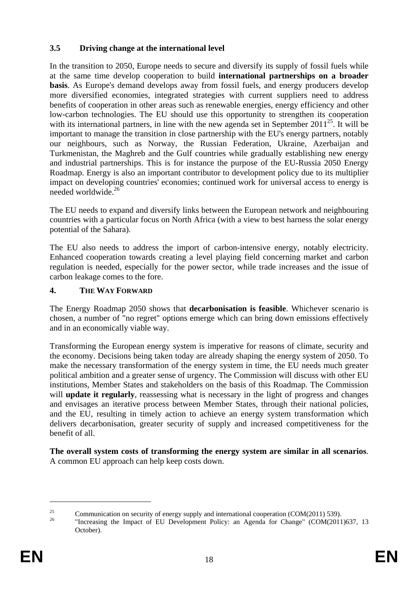# **3.5 Driving change at the international level**

In the transition to 2050, Europe needs to secure and diversify its supply of fossil fuels while at the same time develop cooperation to build **international partnerships on a broader basis**. As Europe's demand develops away from fossil fuels, and energy producers develop more diversified economies, integrated strategies with current suppliers need to address benefits of cooperation in other areas such as renewable energies, energy efficiency and other low-carbon technologies. The EU should use this opportunity to strengthen its cooperation with its international partners, in line with the new agenda set in September  $2011^{25}$ . It will be important to manage the transition in close partnership with the EU's energy partners, notably our neighbours, such as Norway, the Russian Federation, Ukraine, Azerbaijan and Turkmenistan, the Maghreb and the Gulf countries while gradually establishing new energy and industrial partnerships. This is for instance the purpose of the EU-Russia 2050 Energy Roadmap. Energy is also an important contributor to development policy due to its multiplier impact on developing countries' economies; continued work for universal access to energy is needed worldwide.26

The EU needs to expand and diversify links between the European network and neighbouring countries with a particular focus on North Africa (with a view to best harness the solar energy potential of the Sahara).

The EU also needs to address the import of carbon-intensive energy, notably electricity. Enhanced cooperation towards creating a level playing field concerning market and carbon regulation is needed, especially for the power sector, while trade increases and the issue of carbon leakage comes to the fore.

## **4. THE WAY FORWARD**

The Energy Roadmap 2050 shows that **decarbonisation is feasible**. Whichever scenario is chosen, a number of "no regret" options emerge which can bring down emissions effectively and in an economically viable way.

Transforming the European energy system is imperative for reasons of climate, security and the economy. Decisions being taken today are already shaping the energy system of 2050. To make the necessary transformation of the energy system in time, the EU needs much greater political ambition and a greater sense of urgency. The Commission will discuss with other EU institutions, Member States and stakeholders on the basis of this Roadmap. The Commission will **update it regularly**, reassessing what is necessary in the light of progress and changes and envisages an iterative process between Member States, through their national policies, and the EU, resulting in timely action to achieve an energy system transformation which delivers decarbonisation, greater security of supply and increased competitiveness for the benefit of all.

**The overall system costs of transforming the energy system are similar in all scenarios**. A common EU approach can help keep costs down.

<sup>&</sup>lt;sup>25</sup> Communication on security of energy supply and international cooperation (COM(2011) 539).

<sup>&</sup>quot;Increasing the Impact of EU Development Policy: an Agenda for Change" (COM(2011)637, 13 October).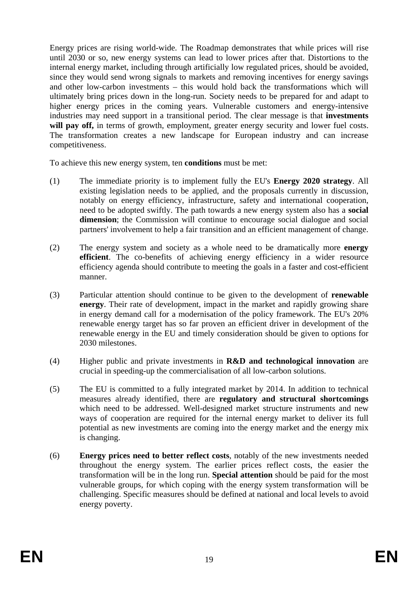Energy prices are rising world-wide. The Roadmap demonstrates that while prices will rise until 2030 or so, new energy systems can lead to lower prices after that. Distortions to the internal energy market, including through artificially low regulated prices, should be avoided, since they would send wrong signals to markets and removing incentives for energy savings and other low-carbon investments – this would hold back the transformations which will ultimately bring prices down in the long-run. Society needs to be prepared for and adapt to higher energy prices in the coming years. Vulnerable customers and energy-intensive industries may need support in a transitional period. The clear message is that **investments**  will pay off, in terms of growth, employment, greater energy security and lower fuel costs. The transformation creates a new landscape for European industry and can increase competitiveness.

To achieve this new energy system, ten **conditions** must be met:

- (1) The immediate priority is to implement fully the EU's **Energy 2020 strategy**. All existing legislation needs to be applied, and the proposals currently in discussion, notably on energy efficiency, infrastructure, safety and international cooperation, need to be adopted swiftly. The path towards a new energy system also has a **social dimension**; the Commission will continue to encourage social dialogue and social partners' involvement to help a fair transition and an efficient management of change.
- (2) The energy system and society as a whole need to be dramatically more **energy efficient**. The co-benefits of achieving energy efficiency in a wider resource efficiency agenda should contribute to meeting the goals in a faster and cost-efficient manner.
- (3) Particular attention should continue to be given to the development of **renewable energy**. Their rate of development, impact in the market and rapidly growing share in energy demand call for a modernisation of the policy framework. The EU's 20% renewable energy target has so far proven an efficient driver in development of the renewable energy in the EU and timely consideration should be given to options for 2030 milestones.
- (4) Higher public and private investments in **R&D and technological innovation** are crucial in speeding-up the commercialisation of all low-carbon solutions.
- (5) The EU is committed to a fully integrated market by 2014. In addition to technical measures already identified, there are **regulatory and structural shortcomings** which need to be addressed. Well-designed market structure instruments and new ways of cooperation are required for the internal energy market to deliver its full potential as new investments are coming into the energy market and the energy mix is changing.
- (6) **Energy prices need to better reflect costs**, notably of the new investments needed throughout the energy system. The earlier prices reflect costs, the easier the transformation will be in the long run. **Special attention** should be paid for the most vulnerable groups, for which coping with the energy system transformation will be challenging. Specific measures should be defined at national and local levels to avoid energy poverty.